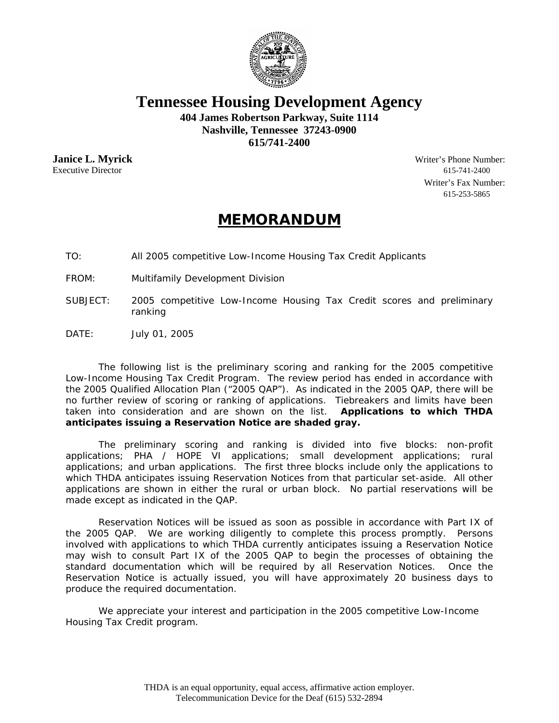

**Tennessee Housing Development Agency** 

**404 James Robertson Parkway, Suite 1114 Nashville, Tennessee 37243-0900 615/741-2400** 

Executive Director 615-741-2400

**Janice L. Myrick** Writer's Phone Number: Writer's Fax Number: 615-253-5865

## **MEMORANDUM**

TO: All 2005 competitive Low-Income Housing Tax Credit Applicants

FROM: Multifamily Development Division

- SUBJECT: 2005 competitive Low-Income Housing Tax Credit scores and preliminary ranking
- DATE: July 01, 2005

 The following list is the preliminary scoring and ranking for the 2005 competitive Low-Income Housing Tax Credit Program. The review period has ended in accordance with the 2005 Qualified Allocation Plan ("2005 QAP"). As indicated in the 2005 QAP, there will be no further review of scoring or ranking of applications. Tiebreakers and limits have been taken into consideration and are shown on the list. **Applications to which THDA anticipates issuing a Reservation Notice are shaded gray.**

 The preliminary scoring and ranking is divided into five blocks: non-profit applications; PHA / HOPE VI applications; small development applications; rural applications; and urban applications. The first three blocks include only the applications to which THDA anticipates issuing Reservation Notices from that particular set-aside. All other applications are shown in either the rural or urban block. No partial reservations will be made except as indicated in the QAP.

 Reservation Notices will be issued as soon as possible in accordance with Part IX of the 2005 QAP. We are working diligently to complete this process promptly. Persons involved with applications to which THDA currently anticipates issuing a Reservation Notice may wish to consult Part IX of the 2005 QAP to begin the processes of obtaining the standard documentation which will be required by all Reservation Notices. Once the Reservation Notice is actually issued, you will have approximately 20 business days to produce the required documentation.

 We appreciate your interest and participation in the 2005 competitive Low-Income Housing Tax Credit program.